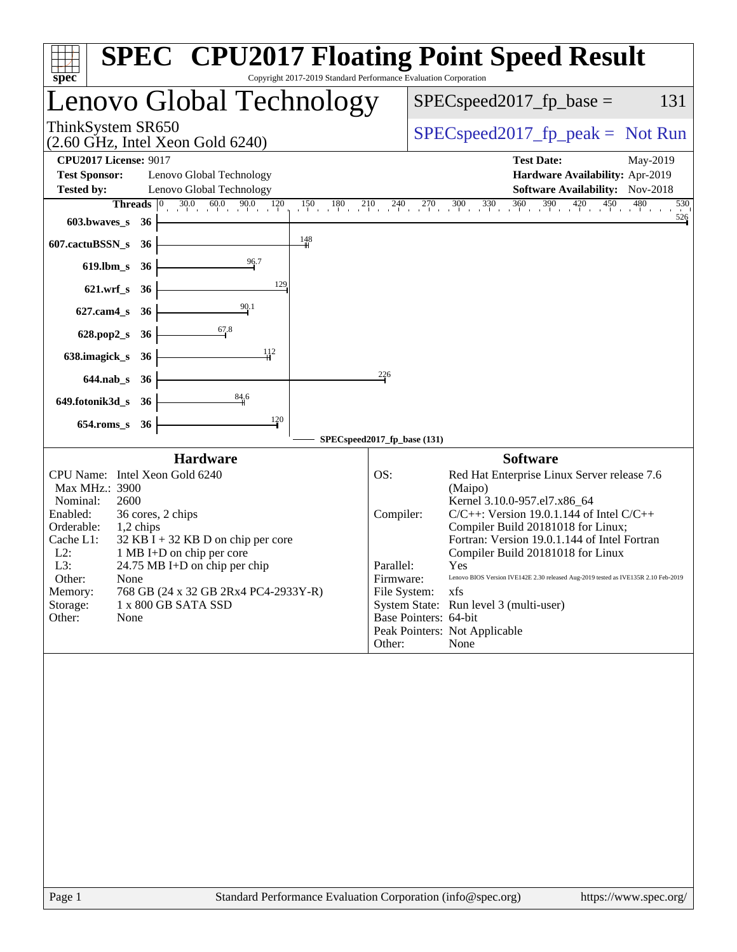| Copyright 2017-2019 Standard Performance Evaluation Corporation<br>spec                                                                                                                                                                                                                                                                                                                                           | <b>SPEC<sup>®</sup></b> CPU2017 Floating Point Speed Result                                                                                                                                                                                                                                                                                                                                                                                                                                                                                                                   |
|-------------------------------------------------------------------------------------------------------------------------------------------------------------------------------------------------------------------------------------------------------------------------------------------------------------------------------------------------------------------------------------------------------------------|-------------------------------------------------------------------------------------------------------------------------------------------------------------------------------------------------------------------------------------------------------------------------------------------------------------------------------------------------------------------------------------------------------------------------------------------------------------------------------------------------------------------------------------------------------------------------------|
| Lenovo Global Technology                                                                                                                                                                                                                                                                                                                                                                                          | $SPEC speed2017_fp\_base =$<br>131                                                                                                                                                                                                                                                                                                                                                                                                                                                                                                                                            |
| ThinkSystem SR650<br>$(2.60 \text{ GHz}, \text{Intel Xeon Gold } 6240)$                                                                                                                                                                                                                                                                                                                                           | $SPEC speed2017fr peak = Not Run$                                                                                                                                                                                                                                                                                                                                                                                                                                                                                                                                             |
| <b>CPU2017 License: 9017</b><br><b>Test Sponsor:</b><br>Lenovo Global Technology<br>Lenovo Global Technology<br><b>Tested by:</b>                                                                                                                                                                                                                                                                                 | <b>Test Date:</b><br>May-2019<br>Hardware Availability: Apr-2019<br><b>Software Availability:</b> Nov-2018                                                                                                                                                                                                                                                                                                                                                                                                                                                                    |
| $30.0$ $60.0$ $90.0$<br>Threads $ 0 $<br>$\frac{120}{1}$<br>$150$ $180$ $210$<br>603.bwaves_s<br>-36<br>$\frac{148}{4}$<br>607.cactuBSSN_s<br>-36<br>96.7<br>$619$ .lbm_s<br>- 36<br>129<br>$621.wrf_s$<br>36<br>$\frac{90.1}{9}$<br>$627$ .cam $4$ <sub>S</sub><br>36<br>67.8<br>628.pop2_s<br>36<br>112<br>638.imagick_s<br>-36<br>$644$ .nab s<br>- 36                                                         | $240$ $270$ $300$ $330$ $360$ $390$ $420$ $450$ $480$<br>530<br>526<br>226                                                                                                                                                                                                                                                                                                                                                                                                                                                                                                    |
| 84,6<br>649.fotonik3d_s<br>36<br>120<br>$654$ .roms_s<br>36                                                                                                                                                                                                                                                                                                                                                       | SPECspeed2017_fp_base (131)                                                                                                                                                                                                                                                                                                                                                                                                                                                                                                                                                   |
| <b>Hardware</b><br>CPU Name: Intel Xeon Gold 6240<br>Max MHz.: 3900<br>Nominal:<br>2600<br>Enabled:<br>36 cores, 2 chips<br>Orderable:<br>1,2 chips<br>Cache L1:<br>$32$ KB I + 32 KB D on chip per core<br>$L2$ :<br>1 MB I+D on chip per core<br>L3:<br>24.75 MB I+D on chip per chip<br>Other:<br>None<br>768 GB (24 x 32 GB 2Rx4 PC4-2933Y-R)<br>Memory:<br>Storage:<br>1 x 800 GB SATA SSD<br>None<br>Other: | <b>Software</b><br>OS:<br>Red Hat Enterprise Linux Server release 7.6<br>(Maipo)<br>Kernel 3.10.0-957.el7.x86_64<br>$C/C++$ : Version 19.0.1.144 of Intel $C/C++$<br>Compiler:<br>Compiler Build 20181018 for Linux;<br>Fortran: Version 19.0.1.144 of Intel Fortran<br>Compiler Build 20181018 for Linux<br>Parallel:<br>Yes<br>Lenovo BIOS Version IVE142E 2.30 released Aug-2019 tested as IVE135R 2.10 Feb-2019<br>Firmware:<br>File System:<br>xfs<br>System State: Run level 3 (multi-user)<br>Base Pointers: 64-bit<br>Peak Pointers: Not Applicable<br>Other:<br>None |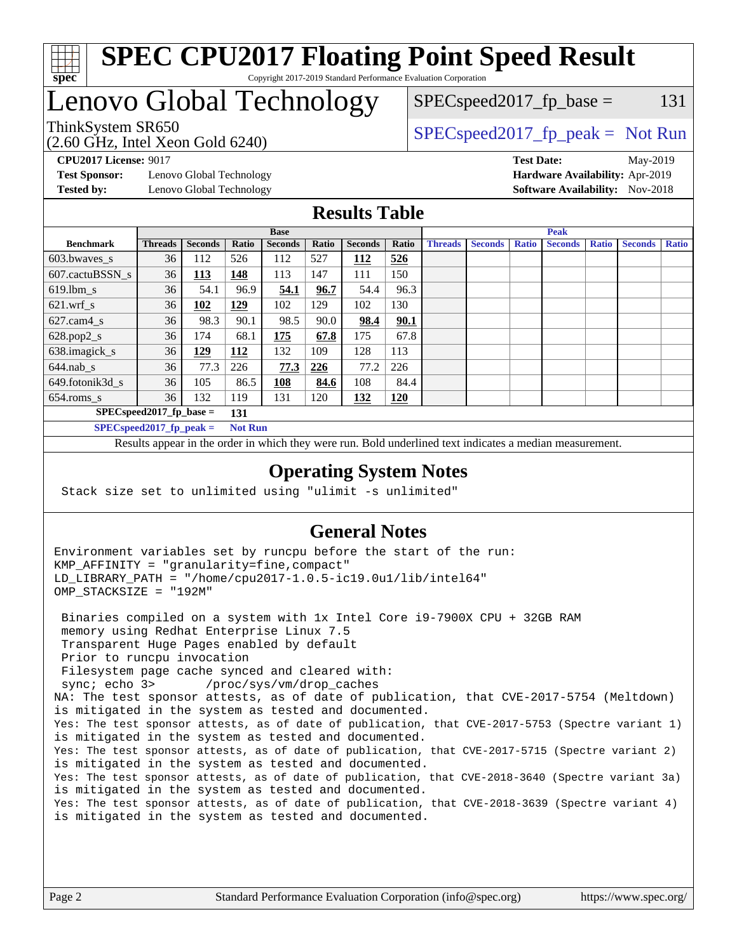

#### **[SPEC CPU2017 Floating Point Speed Result](http://www.spec.org/auto/cpu2017/Docs/result-fields.html#SPECCPU2017FloatingPointSpeedResult)** Copyright 2017-2019 Standard Performance Evaluation Corporation

## Lenovo Global Technology

(2.60 GHz, Intel Xeon Gold 6240)

ThinkSystem SR650<br>  $SPEC speed2017<sub>rfp</sub> peak = Not Run$ 

 $SPEC speed2017_f p\_base = 131$ 

**[Test Sponsor:](http://www.spec.org/auto/cpu2017/Docs/result-fields.html#TestSponsor)** Lenovo Global Technology **[Hardware Availability:](http://www.spec.org/auto/cpu2017/Docs/result-fields.html#HardwareAvailability)** Apr-2019 **[Tested by:](http://www.spec.org/auto/cpu2017/Docs/result-fields.html#Testedby)** Lenovo Global Technology **[Software Availability:](http://www.spec.org/auto/cpu2017/Docs/result-fields.html#SoftwareAvailability)** Nov-2018

**[CPU2017 License:](http://www.spec.org/auto/cpu2017/Docs/result-fields.html#CPU2017License)** 9017 **[Test Date:](http://www.spec.org/auto/cpu2017/Docs/result-fields.html#TestDate)** May-2019

#### **[Results Table](http://www.spec.org/auto/cpu2017/Docs/result-fields.html#ResultsTable)**

|                                   | <b>Base</b>                |                |                |                | <b>Peak</b> |                |            |                |                |              |                |              |                |              |
|-----------------------------------|----------------------------|----------------|----------------|----------------|-------------|----------------|------------|----------------|----------------|--------------|----------------|--------------|----------------|--------------|
| <b>Benchmark</b>                  | <b>Threads</b>             | <b>Seconds</b> | Ratio          | <b>Seconds</b> | Ratio       | <b>Seconds</b> | Ratio      | <b>Threads</b> | <b>Seconds</b> | <b>Ratio</b> | <b>Seconds</b> | <b>Ratio</b> | <b>Seconds</b> | <b>Ratio</b> |
| 603.bwayes s                      | 36                         | 112            | 526            | 112            | 527         | 112            | 526        |                |                |              |                |              |                |              |
| 607.cactuBSSN s                   | 36                         | <u> 113</u>    | 148            | 113            | 147         | 111            | 150        |                |                |              |                |              |                |              |
| $619.$ lbm s                      | 36                         | 54.1           | 96.9           | 54.1           | 96.7        | 54.4           | 96.3       |                |                |              |                |              |                |              |
| $621.wrf$ s                       | 36                         | 102            | 129            | 102            | 129         | 102            | 130        |                |                |              |                |              |                |              |
| $627$ .cam4 s                     | 36                         | 98.3           | 90.1           | 98.5           | 90.0        | 98.4           | 90.1       |                |                |              |                |              |                |              |
| $628.pop2_s$                      | 36                         | 174            | 68.1           | 175            | 67.8        | 175            | 67.8       |                |                |              |                |              |                |              |
| 638.imagick_s                     | 36                         | <u> 129</u>    | 112            | 132            | 109         | 128            | 113        |                |                |              |                |              |                |              |
| $644$ .nab s                      | 36                         | 77.3           | 226            | 77.3           | 226         | 77.2           | 226        |                |                |              |                |              |                |              |
| 649.fotonik3d s                   | 36                         | 105            | 86.5           | <u> 108</u>    | 84.6        | 108            | 84.4       |                |                |              |                |              |                |              |
| $654$ .roms s                     | 36                         | 132            | 119            | 131            | 120         | 132            | <b>120</b> |                |                |              |                |              |                |              |
| $SPEC speed2017$ fp base =<br>131 |                            |                |                |                |             |                |            |                |                |              |                |              |                |              |
|                                   | SPECspeed 2017 fp peak $=$ |                | <b>Not Run</b> |                |             |                |            |                |                |              |                |              |                |              |

Results appear in the [order in which they were run.](http://www.spec.org/auto/cpu2017/Docs/result-fields.html#RunOrder) Bold underlined text [indicates a median measurement](http://www.spec.org/auto/cpu2017/Docs/result-fields.html#Median).

#### **[Operating System Notes](http://www.spec.org/auto/cpu2017/Docs/result-fields.html#OperatingSystemNotes)**

Stack size set to unlimited using "ulimit -s unlimited"

#### **[General Notes](http://www.spec.org/auto/cpu2017/Docs/result-fields.html#GeneralNotes)**

Environment variables set by runcpu before the start of the run: KMP\_AFFINITY = "granularity=fine,compact" LD\_LIBRARY\_PATH = "/home/cpu2017-1.0.5-ic19.0u1/lib/intel64" OMP\_STACKSIZE = "192M"

 Binaries compiled on a system with 1x Intel Core i9-7900X CPU + 32GB RAM memory using Redhat Enterprise Linux 7.5 Transparent Huge Pages enabled by default Prior to runcpu invocation Filesystem page cache synced and cleared with: sync; echo 3> /proc/sys/vm/drop\_caches NA: The test sponsor attests, as of date of publication, that CVE-2017-5754 (Meltdown) is mitigated in the system as tested and documented. Yes: The test sponsor attests, as of date of publication, that CVE-2017-5753 (Spectre variant 1) is mitigated in the system as tested and documented. Yes: The test sponsor attests, as of date of publication, that CVE-2017-5715 (Spectre variant 2) is mitigated in the system as tested and documented. Yes: The test sponsor attests, as of date of publication, that CVE-2018-3640 (Spectre variant 3a) is mitigated in the system as tested and documented. Yes: The test sponsor attests, as of date of publication, that CVE-2018-3639 (Spectre variant 4) is mitigated in the system as tested and documented.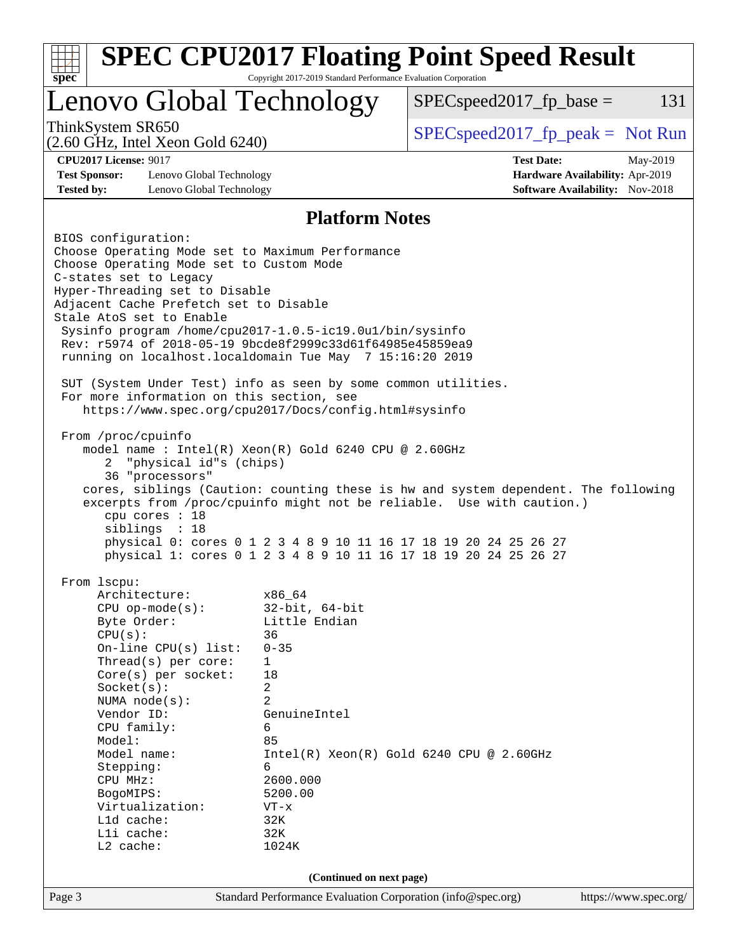| $spec^*$                                                                                                              | Copyright 2017-2019 Standard Performance Evaluation Corporation | <b>SPEC CPU2017 Floating Point Speed Result</b>                  |                                 |     |  |  |
|-----------------------------------------------------------------------------------------------------------------------|-----------------------------------------------------------------|------------------------------------------------------------------|---------------------------------|-----|--|--|
| Lenovo Global Technology                                                                                              |                                                                 | $SPEC speed2017fp base =$                                        |                                 | 131 |  |  |
| ThinkSystem SR650<br>$(2.60 \text{ GHz}, \text{Intel Xeon Gold } 6240)$                                               |                                                                 | $SPEC speed2017_fp\_peak = Not Run$                              |                                 |     |  |  |
| <b>CPU2017 License: 9017</b>                                                                                          |                                                                 | <b>Test Date:</b>                                                | May-2019                        |     |  |  |
| <b>Test Sponsor:</b><br>Lenovo Global Technology                                                                      |                                                                 |                                                                  | Hardware Availability: Apr-2019 |     |  |  |
| <b>Tested by:</b><br>Lenovo Global Technology                                                                         |                                                                 |                                                                  | Software Availability: Nov-2018 |     |  |  |
| <b>Platform Notes</b>                                                                                                 |                                                                 |                                                                  |                                 |     |  |  |
| BIOS configuration:                                                                                                   |                                                                 |                                                                  |                                 |     |  |  |
| Choose Operating Mode set to Maximum Performance                                                                      |                                                                 |                                                                  |                                 |     |  |  |
| Choose Operating Mode set to Custom Mode                                                                              |                                                                 |                                                                  |                                 |     |  |  |
| C-states set to Legacy<br>Hyper-Threading set to Disable                                                              |                                                                 |                                                                  |                                 |     |  |  |
| Adjacent Cache Prefetch set to Disable                                                                                |                                                                 |                                                                  |                                 |     |  |  |
| Stale AtoS set to Enable                                                                                              |                                                                 |                                                                  |                                 |     |  |  |
| Sysinfo program /home/cpu2017-1.0.5-ic19.0ul/bin/sysinfo                                                              |                                                                 |                                                                  |                                 |     |  |  |
| Rev: r5974 of 2018-05-19 9bcde8f2999c33d61f64985e45859ea9<br>running on localhost.localdomain Tue May 7 15:16:20 2019 |                                                                 |                                                                  |                                 |     |  |  |
|                                                                                                                       |                                                                 |                                                                  |                                 |     |  |  |
| SUT (System Under Test) info as seen by some common utilities.                                                        |                                                                 |                                                                  |                                 |     |  |  |
| For more information on this section, see                                                                             |                                                                 |                                                                  |                                 |     |  |  |
| https://www.spec.org/cpu2017/Docs/config.html#sysinfo                                                                 |                                                                 |                                                                  |                                 |     |  |  |
| From /proc/cpuinfo                                                                                                    |                                                                 |                                                                  |                                 |     |  |  |
| model name: Intel(R) Xeon(R) Gold 6240 CPU @ 2.60GHz                                                                  |                                                                 |                                                                  |                                 |     |  |  |
| "physical id"s (chips)<br>2                                                                                           |                                                                 |                                                                  |                                 |     |  |  |
| 36 "processors"                                                                                                       |                                                                 |                                                                  |                                 |     |  |  |
| cores, siblings (Caution: counting these is hw and system dependent. The following                                    |                                                                 |                                                                  |                                 |     |  |  |
| excerpts from /proc/cpuinfo might not be reliable. Use with caution.)<br>cpu cores : 18                               |                                                                 |                                                                  |                                 |     |  |  |
| siblings : 18                                                                                                         |                                                                 |                                                                  |                                 |     |  |  |
|                                                                                                                       |                                                                 | physical 0: cores 0 1 2 3 4 8 9 10 11 16 17 18 19 20 24 25 26 27 |                                 |     |  |  |
|                                                                                                                       |                                                                 | physical 1: cores 0 1 2 3 4 8 9 10 11 16 17 18 19 20 24 25 26 27 |                                 |     |  |  |
|                                                                                                                       |                                                                 |                                                                  |                                 |     |  |  |
| From 1scpu:<br>Architecture:                                                                                          | x86_64                                                          |                                                                  |                                 |     |  |  |
| $CPU$ op-mode(s):                                                                                                     | $32$ -bit, $64$ -bit                                            |                                                                  |                                 |     |  |  |
| Byte Order:                                                                                                           | Little Endian                                                   |                                                                  |                                 |     |  |  |
| CPU(s):                                                                                                               | 36                                                              |                                                                  |                                 |     |  |  |
| On-line $CPU(s)$ list:                                                                                                | $0 - 35$                                                        |                                                                  |                                 |     |  |  |
| Thread( $s$ ) per core:<br>Core(s) per socket:                                                                        | 1<br>18                                                         |                                                                  |                                 |     |  |  |
| Socket(s):                                                                                                            | 2                                                               |                                                                  |                                 |     |  |  |
| NUMA $node(s)$ :                                                                                                      | $\overline{a}$                                                  |                                                                  |                                 |     |  |  |
| Vendor ID:                                                                                                            | GenuineIntel                                                    |                                                                  |                                 |     |  |  |
| CPU family:                                                                                                           | 6                                                               |                                                                  |                                 |     |  |  |
| Model name:                                                                                                           | Model:<br>85<br>$Intel(R) Xeon(R) Gold 6240 CPU @ 2.60GHz$      |                                                                  |                                 |     |  |  |
| Stepping:<br>6                                                                                                        |                                                                 |                                                                  |                                 |     |  |  |
| CPU MHz:                                                                                                              | 2600.000                                                        |                                                                  |                                 |     |  |  |
| BogoMIPS:                                                                                                             | 5200.00                                                         |                                                                  |                                 |     |  |  |
| Virtualization:                                                                                                       | $VT - x$                                                        |                                                                  |                                 |     |  |  |
| L1d cache:<br>Lli cache:                                                                                              | 32K<br>32K                                                      |                                                                  |                                 |     |  |  |
| L2 cache:                                                                                                             | 1024K                                                           |                                                                  |                                 |     |  |  |
|                                                                                                                       |                                                                 |                                                                  |                                 |     |  |  |
|                                                                                                                       | (Continued on next page)                                        |                                                                  |                                 |     |  |  |
| Page 3                                                                                                                | Standard Performance Evaluation Corporation (info@spec.org)     |                                                                  | https://www.spec.org/           |     |  |  |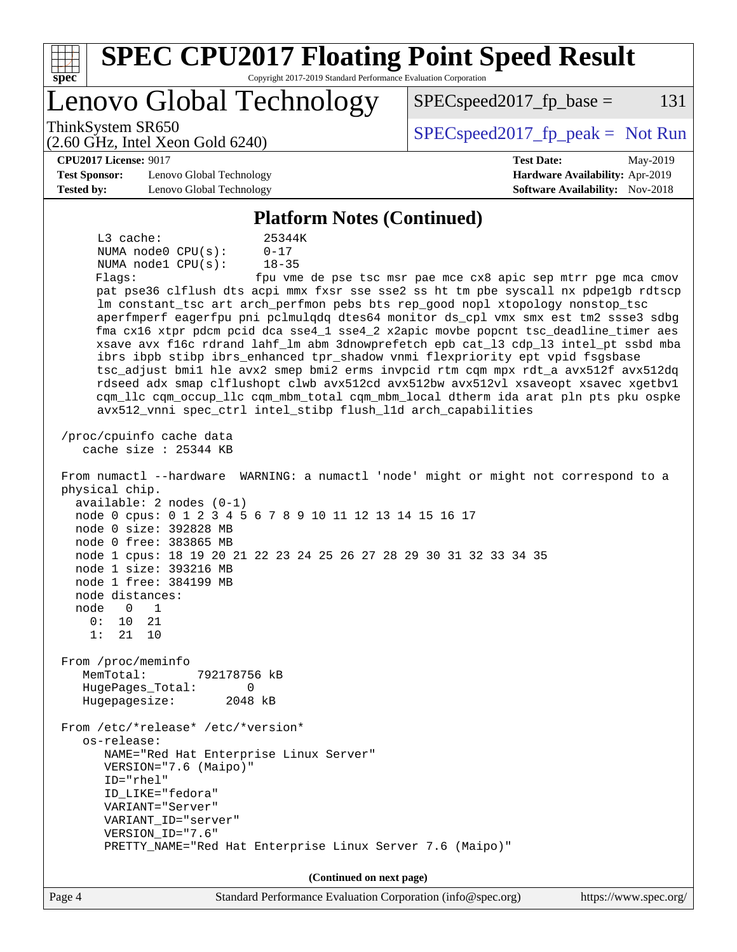| <b>SPEC CPU2017 Floating Point Speed Result</b><br>Spec<br>Copyright 2017-2019 Standard Performance Evaluation Corporation                                                                                                                                                                                                                                                                                                                                                                                                                                                                                                                                                                                                                                                                                                                                                                                                                                                                                                                                                                                                                                                                                                                                                                                                                                                                                                                                                                                                                                                                                                                                                                                                                                                                                                                                                                                     |                                                                    |
|----------------------------------------------------------------------------------------------------------------------------------------------------------------------------------------------------------------------------------------------------------------------------------------------------------------------------------------------------------------------------------------------------------------------------------------------------------------------------------------------------------------------------------------------------------------------------------------------------------------------------------------------------------------------------------------------------------------------------------------------------------------------------------------------------------------------------------------------------------------------------------------------------------------------------------------------------------------------------------------------------------------------------------------------------------------------------------------------------------------------------------------------------------------------------------------------------------------------------------------------------------------------------------------------------------------------------------------------------------------------------------------------------------------------------------------------------------------------------------------------------------------------------------------------------------------------------------------------------------------------------------------------------------------------------------------------------------------------------------------------------------------------------------------------------------------------------------------------------------------------------------------------------------------|--------------------------------------------------------------------|
| Lenovo Global Technology                                                                                                                                                                                                                                                                                                                                                                                                                                                                                                                                                                                                                                                                                                                                                                                                                                                                                                                                                                                                                                                                                                                                                                                                                                                                                                                                                                                                                                                                                                                                                                                                                                                                                                                                                                                                                                                                                       | $SPEC speed2017fr base =$<br>131                                   |
| ThinkSystem SR650<br>$(2.60 \text{ GHz}, \text{Intel Xeon Gold } 6240)$                                                                                                                                                                                                                                                                                                                                                                                                                                                                                                                                                                                                                                                                                                                                                                                                                                                                                                                                                                                                                                                                                                                                                                                                                                                                                                                                                                                                                                                                                                                                                                                                                                                                                                                                                                                                                                        | $SPEC speed2017fr peak = Not Run$                                  |
| <b>CPU2017 License: 9017</b>                                                                                                                                                                                                                                                                                                                                                                                                                                                                                                                                                                                                                                                                                                                                                                                                                                                                                                                                                                                                                                                                                                                                                                                                                                                                                                                                                                                                                                                                                                                                                                                                                                                                                                                                                                                                                                                                                   | <b>Test Date:</b><br>May-2019                                      |
| <b>Test Sponsor:</b><br>Lenovo Global Technology<br><b>Tested by:</b><br>Lenovo Global Technology                                                                                                                                                                                                                                                                                                                                                                                                                                                                                                                                                                                                                                                                                                                                                                                                                                                                                                                                                                                                                                                                                                                                                                                                                                                                                                                                                                                                                                                                                                                                                                                                                                                                                                                                                                                                              | Hardware Availability: Apr-2019<br>Software Availability: Nov-2018 |
| <b>Platform Notes (Continued)</b>                                                                                                                                                                                                                                                                                                                                                                                                                                                                                                                                                                                                                                                                                                                                                                                                                                                                                                                                                                                                                                                                                                                                                                                                                                                                                                                                                                                                                                                                                                                                                                                                                                                                                                                                                                                                                                                                              |                                                                    |
| $L3$ cache:<br>25344K<br>NUMA node0 CPU(s):<br>$0 - 17$<br>NUMA nodel CPU(s):<br>$18 - 35$<br>Flaqs:<br>pat pse36 clflush dts acpi mmx fxsr sse sse2 ss ht tm pbe syscall nx pdpelgb rdtscp<br>lm constant_tsc art arch_perfmon pebs bts rep_good nopl xtopology nonstop_tsc<br>aperfmperf eagerfpu pni pclmulqdq dtes64 monitor ds_cpl vmx smx est tm2 ssse3 sdbg<br>fma cx16 xtpr pdcm pcid dca sse4_1 sse4_2 x2apic movbe popcnt tsc_deadline_timer aes<br>xsave avx f16c rdrand lahf_lm abm 3dnowprefetch epb cat_13 cdp_13 intel_pt ssbd mba<br>ibrs ibpb stibp ibrs_enhanced tpr_shadow vnmi flexpriority ept vpid fsgsbase<br>tsc_adjust bmil hle avx2 smep bmi2 erms invpcid rtm cqm mpx rdt_a avx512f avx512dq<br>rdseed adx smap clflushopt clwb avx512cd avx512bw avx512vl xsaveopt xsavec xgetbvl<br>cqm_llc cqm_occup_llc cqm_mbm_total cqm_mbm_local dtherm ida arat pln pts pku ospke<br>avx512_vnni spec_ctrl intel_stibp flush_lld arch_capabilities<br>/proc/cpuinfo cache data<br>cache size : 25344 KB<br>From numactl --hardware WARNING: a numactl 'node' might or might not correspond to a<br>physical chip.<br>$available: 2 nodes (0-1)$<br>node 0 cpus: 0 1 2 3 4 5 6 7 8 9 10 11 12 13 14 15 16 17<br>node 0 size: 392828 MB<br>node 0 free: 383865 MB<br>node 1 cpus: 18 19 20 21 22 23 24 25 26 27 28 29 30 31 32 33 34 35<br>node 1 size: 393216 MB<br>node 1 free: 384199 MB<br>node distances:<br>node<br>0<br>1<br>0:<br>10<br>21<br>1:<br>21<br>10<br>From /proc/meminfo<br>MemTotal:<br>792178756 kB<br>HugePages_Total:<br>0<br>Hugepagesize:<br>2048 kB<br>From /etc/*release* /etc/*version*<br>os-release:<br>NAME="Red Hat Enterprise Linux Server"<br>VERSION="7.6 (Maipo)"<br>ID="rhel"<br>ID_LIKE="fedora"<br>VARIANT="Server"<br>VARIANT_ID="server"<br>VERSION_ID="7.6"<br>PRETTY_NAME="Red Hat Enterprise Linux Server 7.6 (Maipo)"<br>(Continued on next page) | fpu vme de pse tsc msr pae mce cx8 apic sep mtrr pge mca cmov      |
| Page 4<br>Standard Performance Evaluation Corporation (info@spec.org)                                                                                                                                                                                                                                                                                                                                                                                                                                                                                                                                                                                                                                                                                                                                                                                                                                                                                                                                                                                                                                                                                                                                                                                                                                                                                                                                                                                                                                                                                                                                                                                                                                                                                                                                                                                                                                          | https://www.spec.org/                                              |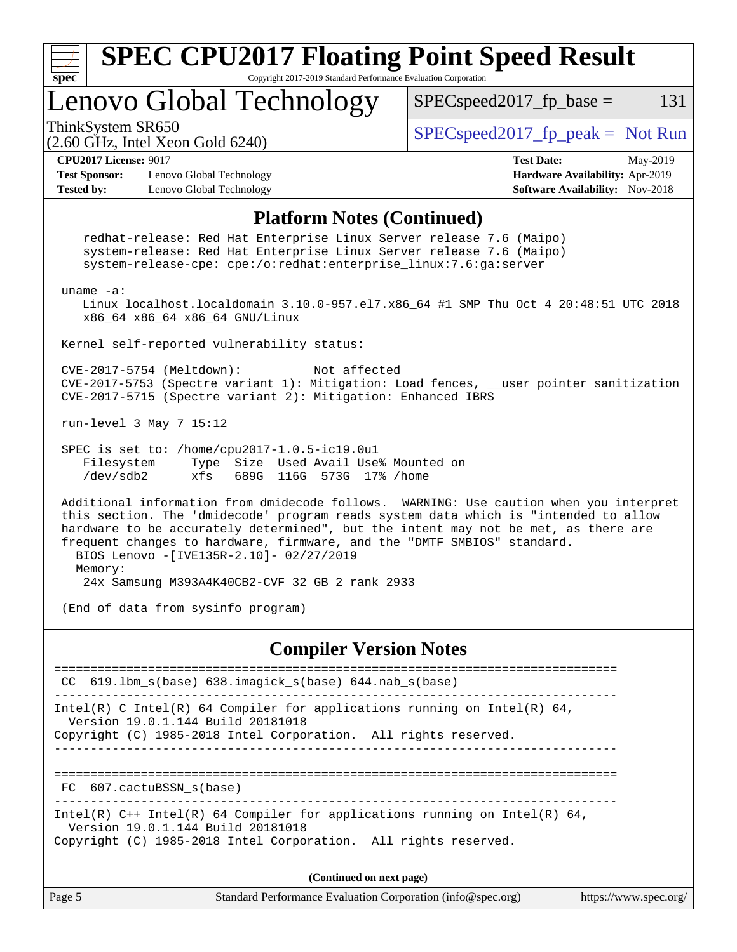

Copyright (C) 1985-2018 Intel Corporation. All rights reserved.

Page 5 Standard Performance Evaluation Corporation [\(info@spec.org\)](mailto:info@spec.org) <https://www.spec.org/> **(Continued on next page)**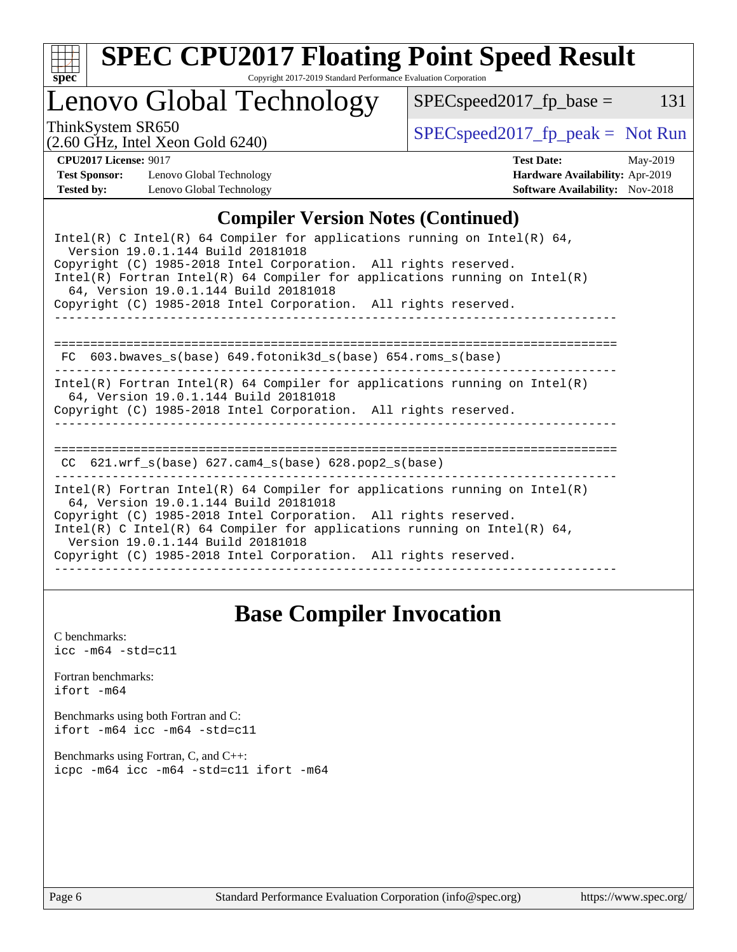

# **[SPEC CPU2017 Floating Point Speed Result](http://www.spec.org/auto/cpu2017/Docs/result-fields.html#SPECCPU2017FloatingPointSpeedResult)**

Copyright 2017-2019 Standard Performance Evaluation Corporation

## Lenovo Global Technology

ThinkSystem SR650<br>  $(2.60 \text{ GHz. Intel Yoon Gold } 6240)$  [SPECspeed2017\\_fp\\_peak =](http://www.spec.org/auto/cpu2017/Docs/result-fields.html#SPECspeed2017fppeak) Not Run

 $SPEC speed2017_fp\_base = 131$ 

(2.60 GHz, Intel Xeon Gold 6240)

**[CPU2017 License:](http://www.spec.org/auto/cpu2017/Docs/result-fields.html#CPU2017License)** 9017 **[Test Date:](http://www.spec.org/auto/cpu2017/Docs/result-fields.html#TestDate)** May-2019 **[Test Sponsor:](http://www.spec.org/auto/cpu2017/Docs/result-fields.html#TestSponsor)** Lenovo Global Technology **[Hardware Availability:](http://www.spec.org/auto/cpu2017/Docs/result-fields.html#HardwareAvailability)** Apr-2019 **[Tested by:](http://www.spec.org/auto/cpu2017/Docs/result-fields.html#Testedby)** Lenovo Global Technology **[Software Availability:](http://www.spec.org/auto/cpu2017/Docs/result-fields.html#SoftwareAvailability)** Nov-2018

### **[Compiler Version Notes \(Continued\)](http://www.spec.org/auto/cpu2017/Docs/result-fields.html#CompilerVersionNotes)**

| Intel(R) C Intel(R) 64 Compiler for applications running on Intel(R) 64,<br>Version 19.0.1.144 Build 20181018<br>Copyright (C) 1985-2018 Intel Corporation. All rights reserved.<br>Intel(R) Fortran Intel(R) 64 Compiler for applications running on Intel(R)<br>64, Version 19.0.1.144 Build 20181018<br>Copyright (C) 1985-2018 Intel Corporation. All rights reserved. |  |  |  |  |  |
|----------------------------------------------------------------------------------------------------------------------------------------------------------------------------------------------------------------------------------------------------------------------------------------------------------------------------------------------------------------------------|--|--|--|--|--|
| 603.bwaves s(base) 649.fotonik3d s(base) 654.roms s(base)<br>FC.                                                                                                                                                                                                                                                                                                           |  |  |  |  |  |
| Intel(R) Fortran Intel(R) 64 Compiler for applications running on Intel(R)<br>64, Version 19.0.1.144 Build 20181018<br>Copyright (C) 1985-2018 Intel Corporation. All rights reserved.                                                                                                                                                                                     |  |  |  |  |  |
| CC $621.wrf$ s(base) $627.cam4$ s(base) $628.pop2$ s(base)                                                                                                                                                                                                                                                                                                                 |  |  |  |  |  |
| Intel(R) Fortran Intel(R) 64 Compiler for applications running on Intel(R)<br>64, Version 19.0.1.144 Build 20181018<br>Copyright (C) 1985-2018 Intel Corporation. All rights reserved.<br>Intel(R) C Intel(R) 64 Compiler for applications running on Intel(R) 64,<br>Version 19.0.1.144 Build 20181018<br>Copyright (C) 1985-2018 Intel Corporation. All rights reserved. |  |  |  |  |  |

## **[Base Compiler Invocation](http://www.spec.org/auto/cpu2017/Docs/result-fields.html#BaseCompilerInvocation)**

[C benchmarks](http://www.spec.org/auto/cpu2017/Docs/result-fields.html#Cbenchmarks):  $\text{icc}$  -m64 -std=c11 [Fortran benchmarks](http://www.spec.org/auto/cpu2017/Docs/result-fields.html#Fortranbenchmarks): [ifort -m64](http://www.spec.org/cpu2017/results/res2019q3/cpu2017-20190708-16016.flags.html#user_FCbase_intel_ifort_64bit_24f2bb282fbaeffd6157abe4f878425411749daecae9a33200eee2bee2fe76f3b89351d69a8130dd5949958ce389cf37ff59a95e7a40d588e8d3a57e0c3fd751) [Benchmarks using both Fortran and C](http://www.spec.org/auto/cpu2017/Docs/result-fields.html#BenchmarksusingbothFortranandC): [ifort -m64](http://www.spec.org/cpu2017/results/res2019q3/cpu2017-20190708-16016.flags.html#user_CC_FCbase_intel_ifort_64bit_24f2bb282fbaeffd6157abe4f878425411749daecae9a33200eee2bee2fe76f3b89351d69a8130dd5949958ce389cf37ff59a95e7a40d588e8d3a57e0c3fd751) [icc -m64 -std=c11](http://www.spec.org/cpu2017/results/res2019q3/cpu2017-20190708-16016.flags.html#user_CC_FCbase_intel_icc_64bit_c11_33ee0cdaae7deeeab2a9725423ba97205ce30f63b9926c2519791662299b76a0318f32ddfffdc46587804de3178b4f9328c46fa7c2b0cd779d7a61945c91cd35) [Benchmarks using Fortran, C, and C++:](http://www.spec.org/auto/cpu2017/Docs/result-fields.html#BenchmarksusingFortranCandCXX) [icpc -m64](http://www.spec.org/cpu2017/results/res2019q3/cpu2017-20190708-16016.flags.html#user_CC_CXX_FCbase_intel_icpc_64bit_4ecb2543ae3f1412ef961e0650ca070fec7b7afdcd6ed48761b84423119d1bf6bdf5cad15b44d48e7256388bc77273b966e5eb805aefd121eb22e9299b2ec9d9) [icc -m64 -std=c11](http://www.spec.org/cpu2017/results/res2019q3/cpu2017-20190708-16016.flags.html#user_CC_CXX_FCbase_intel_icc_64bit_c11_33ee0cdaae7deeeab2a9725423ba97205ce30f63b9926c2519791662299b76a0318f32ddfffdc46587804de3178b4f9328c46fa7c2b0cd779d7a61945c91cd35) [ifort -m64](http://www.spec.org/cpu2017/results/res2019q3/cpu2017-20190708-16016.flags.html#user_CC_CXX_FCbase_intel_ifort_64bit_24f2bb282fbaeffd6157abe4f878425411749daecae9a33200eee2bee2fe76f3b89351d69a8130dd5949958ce389cf37ff59a95e7a40d588e8d3a57e0c3fd751)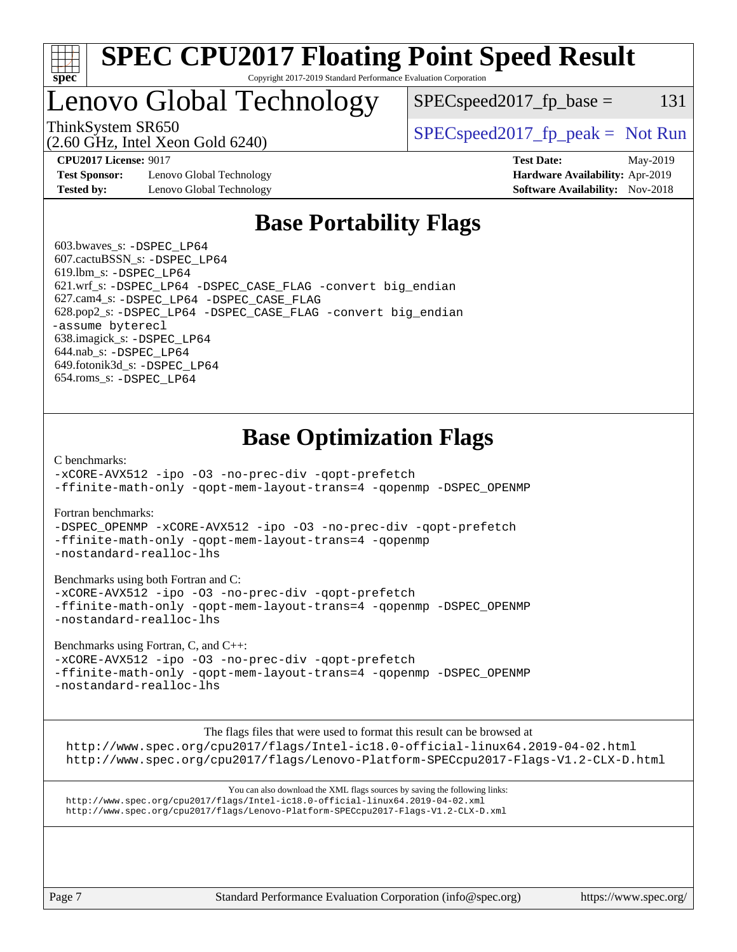

#### **[SPEC CPU2017 Floating Point Speed Result](http://www.spec.org/auto/cpu2017/Docs/result-fields.html#SPECCPU2017FloatingPointSpeedResult)** Copyright 2017-2019 Standard Performance Evaluation Corporation

## Lenovo Global Technology

 $SPEC speed2017_fp\_base = 131$ 

(2.60 GHz, Intel Xeon Gold 6240)

ThinkSystem SR650  $SPEC speed2017$  [p\_peak = Not Run

**[Test Sponsor:](http://www.spec.org/auto/cpu2017/Docs/result-fields.html#TestSponsor)** Lenovo Global Technology **[Hardware Availability:](http://www.spec.org/auto/cpu2017/Docs/result-fields.html#HardwareAvailability)** Apr-2019 **[Tested by:](http://www.spec.org/auto/cpu2017/Docs/result-fields.html#Testedby)** Lenovo Global Technology **[Software Availability:](http://www.spec.org/auto/cpu2017/Docs/result-fields.html#SoftwareAvailability)** Nov-2018

**[CPU2017 License:](http://www.spec.org/auto/cpu2017/Docs/result-fields.html#CPU2017License)** 9017 **[Test Date:](http://www.spec.org/auto/cpu2017/Docs/result-fields.html#TestDate)** May-2019

## **[Base Portability Flags](http://www.spec.org/auto/cpu2017/Docs/result-fields.html#BasePortabilityFlags)**

 603.bwaves\_s: [-DSPEC\\_LP64](http://www.spec.org/cpu2017/results/res2019q3/cpu2017-20190708-16016.flags.html#suite_basePORTABILITY603_bwaves_s_DSPEC_LP64) 607.cactuBSSN\_s: [-DSPEC\\_LP64](http://www.spec.org/cpu2017/results/res2019q3/cpu2017-20190708-16016.flags.html#suite_basePORTABILITY607_cactuBSSN_s_DSPEC_LP64) 619.lbm\_s: [-DSPEC\\_LP64](http://www.spec.org/cpu2017/results/res2019q3/cpu2017-20190708-16016.flags.html#suite_basePORTABILITY619_lbm_s_DSPEC_LP64) 621.wrf\_s: [-DSPEC\\_LP64](http://www.spec.org/cpu2017/results/res2019q3/cpu2017-20190708-16016.flags.html#suite_basePORTABILITY621_wrf_s_DSPEC_LP64) [-DSPEC\\_CASE\\_FLAG](http://www.spec.org/cpu2017/results/res2019q3/cpu2017-20190708-16016.flags.html#b621.wrf_s_baseCPORTABILITY_DSPEC_CASE_FLAG) [-convert big\\_endian](http://www.spec.org/cpu2017/results/res2019q3/cpu2017-20190708-16016.flags.html#user_baseFPORTABILITY621_wrf_s_convert_big_endian_c3194028bc08c63ac5d04de18c48ce6d347e4e562e8892b8bdbdc0214820426deb8554edfa529a3fb25a586e65a3d812c835984020483e7e73212c4d31a38223) 627.cam4\_s: [-DSPEC\\_LP64](http://www.spec.org/cpu2017/results/res2019q3/cpu2017-20190708-16016.flags.html#suite_basePORTABILITY627_cam4_s_DSPEC_LP64) [-DSPEC\\_CASE\\_FLAG](http://www.spec.org/cpu2017/results/res2019q3/cpu2017-20190708-16016.flags.html#b627.cam4_s_baseCPORTABILITY_DSPEC_CASE_FLAG) 628.pop2\_s: [-DSPEC\\_LP64](http://www.spec.org/cpu2017/results/res2019q3/cpu2017-20190708-16016.flags.html#suite_basePORTABILITY628_pop2_s_DSPEC_LP64) [-DSPEC\\_CASE\\_FLAG](http://www.spec.org/cpu2017/results/res2019q3/cpu2017-20190708-16016.flags.html#b628.pop2_s_baseCPORTABILITY_DSPEC_CASE_FLAG) [-convert big\\_endian](http://www.spec.org/cpu2017/results/res2019q3/cpu2017-20190708-16016.flags.html#user_baseFPORTABILITY628_pop2_s_convert_big_endian_c3194028bc08c63ac5d04de18c48ce6d347e4e562e8892b8bdbdc0214820426deb8554edfa529a3fb25a586e65a3d812c835984020483e7e73212c4d31a38223) [-assume byterecl](http://www.spec.org/cpu2017/results/res2019q3/cpu2017-20190708-16016.flags.html#user_baseFPORTABILITY628_pop2_s_assume_byterecl_7e47d18b9513cf18525430bbf0f2177aa9bf368bc7a059c09b2c06a34b53bd3447c950d3f8d6c70e3faf3a05c8557d66a5798b567902e8849adc142926523472) 638.imagick\_s: [-DSPEC\\_LP64](http://www.spec.org/cpu2017/results/res2019q3/cpu2017-20190708-16016.flags.html#suite_basePORTABILITY638_imagick_s_DSPEC_LP64) 644.nab\_s: [-DSPEC\\_LP64](http://www.spec.org/cpu2017/results/res2019q3/cpu2017-20190708-16016.flags.html#suite_basePORTABILITY644_nab_s_DSPEC_LP64) 649.fotonik3d\_s: [-DSPEC\\_LP64](http://www.spec.org/cpu2017/results/res2019q3/cpu2017-20190708-16016.flags.html#suite_basePORTABILITY649_fotonik3d_s_DSPEC_LP64) 654.roms\_s: [-DSPEC\\_LP64](http://www.spec.org/cpu2017/results/res2019q3/cpu2017-20190708-16016.flags.html#suite_basePORTABILITY654_roms_s_DSPEC_LP64)

## **[Base Optimization Flags](http://www.spec.org/auto/cpu2017/Docs/result-fields.html#BaseOptimizationFlags)**

[C benchmarks](http://www.spec.org/auto/cpu2017/Docs/result-fields.html#Cbenchmarks):

[-xCORE-AVX512](http://www.spec.org/cpu2017/results/res2019q3/cpu2017-20190708-16016.flags.html#user_CCbase_f-xCORE-AVX512) [-ipo](http://www.spec.org/cpu2017/results/res2019q3/cpu2017-20190708-16016.flags.html#user_CCbase_f-ipo) [-O3](http://www.spec.org/cpu2017/results/res2019q3/cpu2017-20190708-16016.flags.html#user_CCbase_f-O3) [-no-prec-div](http://www.spec.org/cpu2017/results/res2019q3/cpu2017-20190708-16016.flags.html#user_CCbase_f-no-prec-div) [-qopt-prefetch](http://www.spec.org/cpu2017/results/res2019q3/cpu2017-20190708-16016.flags.html#user_CCbase_f-qopt-prefetch) [-ffinite-math-only](http://www.spec.org/cpu2017/results/res2019q3/cpu2017-20190708-16016.flags.html#user_CCbase_f_finite_math_only_cb91587bd2077682c4b38af759c288ed7c732db004271a9512da14a4f8007909a5f1427ecbf1a0fb78ff2a814402c6114ac565ca162485bbcae155b5e4258871) [-qopt-mem-layout-trans=4](http://www.spec.org/cpu2017/results/res2019q3/cpu2017-20190708-16016.flags.html#user_CCbase_f-qopt-mem-layout-trans_fa39e755916c150a61361b7846f310bcdf6f04e385ef281cadf3647acec3f0ae266d1a1d22d972a7087a248fd4e6ca390a3634700869573d231a252c784941a8) [-qopenmp](http://www.spec.org/cpu2017/results/res2019q3/cpu2017-20190708-16016.flags.html#user_CCbase_qopenmp_16be0c44f24f464004c6784a7acb94aca937f053568ce72f94b139a11c7c168634a55f6653758ddd83bcf7b8463e8028bb0b48b77bcddc6b78d5d95bb1df2967) [-DSPEC\\_OPENMP](http://www.spec.org/cpu2017/results/res2019q3/cpu2017-20190708-16016.flags.html#suite_CCbase_DSPEC_OPENMP)

[Fortran benchmarks](http://www.spec.org/auto/cpu2017/Docs/result-fields.html#Fortranbenchmarks):

[-DSPEC\\_OPENMP](http://www.spec.org/cpu2017/results/res2019q3/cpu2017-20190708-16016.flags.html#suite_FCbase_DSPEC_OPENMP) [-xCORE-AVX512](http://www.spec.org/cpu2017/results/res2019q3/cpu2017-20190708-16016.flags.html#user_FCbase_f-xCORE-AVX512) [-ipo](http://www.spec.org/cpu2017/results/res2019q3/cpu2017-20190708-16016.flags.html#user_FCbase_f-ipo) [-O3](http://www.spec.org/cpu2017/results/res2019q3/cpu2017-20190708-16016.flags.html#user_FCbase_f-O3) [-no-prec-div](http://www.spec.org/cpu2017/results/res2019q3/cpu2017-20190708-16016.flags.html#user_FCbase_f-no-prec-div) [-qopt-prefetch](http://www.spec.org/cpu2017/results/res2019q3/cpu2017-20190708-16016.flags.html#user_FCbase_f-qopt-prefetch) [-ffinite-math-only](http://www.spec.org/cpu2017/results/res2019q3/cpu2017-20190708-16016.flags.html#user_FCbase_f_finite_math_only_cb91587bd2077682c4b38af759c288ed7c732db004271a9512da14a4f8007909a5f1427ecbf1a0fb78ff2a814402c6114ac565ca162485bbcae155b5e4258871) [-qopt-mem-layout-trans=4](http://www.spec.org/cpu2017/results/res2019q3/cpu2017-20190708-16016.flags.html#user_FCbase_f-qopt-mem-layout-trans_fa39e755916c150a61361b7846f310bcdf6f04e385ef281cadf3647acec3f0ae266d1a1d22d972a7087a248fd4e6ca390a3634700869573d231a252c784941a8) [-qopenmp](http://www.spec.org/cpu2017/results/res2019q3/cpu2017-20190708-16016.flags.html#user_FCbase_qopenmp_16be0c44f24f464004c6784a7acb94aca937f053568ce72f94b139a11c7c168634a55f6653758ddd83bcf7b8463e8028bb0b48b77bcddc6b78d5d95bb1df2967) [-nostandard-realloc-lhs](http://www.spec.org/cpu2017/results/res2019q3/cpu2017-20190708-16016.flags.html#user_FCbase_f_2003_std_realloc_82b4557e90729c0f113870c07e44d33d6f5a304b4f63d4c15d2d0f1fab99f5daaed73bdb9275d9ae411527f28b936061aa8b9c8f2d63842963b95c9dd6426b8a)

[Benchmarks using both Fortran and C](http://www.spec.org/auto/cpu2017/Docs/result-fields.html#BenchmarksusingbothFortranandC):

[-xCORE-AVX512](http://www.spec.org/cpu2017/results/res2019q3/cpu2017-20190708-16016.flags.html#user_CC_FCbase_f-xCORE-AVX512) [-ipo](http://www.spec.org/cpu2017/results/res2019q3/cpu2017-20190708-16016.flags.html#user_CC_FCbase_f-ipo) [-O3](http://www.spec.org/cpu2017/results/res2019q3/cpu2017-20190708-16016.flags.html#user_CC_FCbase_f-O3) [-no-prec-div](http://www.spec.org/cpu2017/results/res2019q3/cpu2017-20190708-16016.flags.html#user_CC_FCbase_f-no-prec-div) [-qopt-prefetch](http://www.spec.org/cpu2017/results/res2019q3/cpu2017-20190708-16016.flags.html#user_CC_FCbase_f-qopt-prefetch) [-ffinite-math-only](http://www.spec.org/cpu2017/results/res2019q3/cpu2017-20190708-16016.flags.html#user_CC_FCbase_f_finite_math_only_cb91587bd2077682c4b38af759c288ed7c732db004271a9512da14a4f8007909a5f1427ecbf1a0fb78ff2a814402c6114ac565ca162485bbcae155b5e4258871) [-qopt-mem-layout-trans=4](http://www.spec.org/cpu2017/results/res2019q3/cpu2017-20190708-16016.flags.html#user_CC_FCbase_f-qopt-mem-layout-trans_fa39e755916c150a61361b7846f310bcdf6f04e385ef281cadf3647acec3f0ae266d1a1d22d972a7087a248fd4e6ca390a3634700869573d231a252c784941a8) [-qopenmp](http://www.spec.org/cpu2017/results/res2019q3/cpu2017-20190708-16016.flags.html#user_CC_FCbase_qopenmp_16be0c44f24f464004c6784a7acb94aca937f053568ce72f94b139a11c7c168634a55f6653758ddd83bcf7b8463e8028bb0b48b77bcddc6b78d5d95bb1df2967) [-DSPEC\\_OPENMP](http://www.spec.org/cpu2017/results/res2019q3/cpu2017-20190708-16016.flags.html#suite_CC_FCbase_DSPEC_OPENMP) [-nostandard-realloc-lhs](http://www.spec.org/cpu2017/results/res2019q3/cpu2017-20190708-16016.flags.html#user_CC_FCbase_f_2003_std_realloc_82b4557e90729c0f113870c07e44d33d6f5a304b4f63d4c15d2d0f1fab99f5daaed73bdb9275d9ae411527f28b936061aa8b9c8f2d63842963b95c9dd6426b8a)

[Benchmarks using Fortran, C, and C++:](http://www.spec.org/auto/cpu2017/Docs/result-fields.html#BenchmarksusingFortranCandCXX)

[-xCORE-AVX512](http://www.spec.org/cpu2017/results/res2019q3/cpu2017-20190708-16016.flags.html#user_CC_CXX_FCbase_f-xCORE-AVX512) [-ipo](http://www.spec.org/cpu2017/results/res2019q3/cpu2017-20190708-16016.flags.html#user_CC_CXX_FCbase_f-ipo) [-O3](http://www.spec.org/cpu2017/results/res2019q3/cpu2017-20190708-16016.flags.html#user_CC_CXX_FCbase_f-O3) [-no-prec-div](http://www.spec.org/cpu2017/results/res2019q3/cpu2017-20190708-16016.flags.html#user_CC_CXX_FCbase_f-no-prec-div) [-qopt-prefetch](http://www.spec.org/cpu2017/results/res2019q3/cpu2017-20190708-16016.flags.html#user_CC_CXX_FCbase_f-qopt-prefetch) [-ffinite-math-only](http://www.spec.org/cpu2017/results/res2019q3/cpu2017-20190708-16016.flags.html#user_CC_CXX_FCbase_f_finite_math_only_cb91587bd2077682c4b38af759c288ed7c732db004271a9512da14a4f8007909a5f1427ecbf1a0fb78ff2a814402c6114ac565ca162485bbcae155b5e4258871) [-qopt-mem-layout-trans=4](http://www.spec.org/cpu2017/results/res2019q3/cpu2017-20190708-16016.flags.html#user_CC_CXX_FCbase_f-qopt-mem-layout-trans_fa39e755916c150a61361b7846f310bcdf6f04e385ef281cadf3647acec3f0ae266d1a1d22d972a7087a248fd4e6ca390a3634700869573d231a252c784941a8) [-qopenmp](http://www.spec.org/cpu2017/results/res2019q3/cpu2017-20190708-16016.flags.html#user_CC_CXX_FCbase_qopenmp_16be0c44f24f464004c6784a7acb94aca937f053568ce72f94b139a11c7c168634a55f6653758ddd83bcf7b8463e8028bb0b48b77bcddc6b78d5d95bb1df2967) [-DSPEC\\_OPENMP](http://www.spec.org/cpu2017/results/res2019q3/cpu2017-20190708-16016.flags.html#suite_CC_CXX_FCbase_DSPEC_OPENMP) [-nostandard-realloc-lhs](http://www.spec.org/cpu2017/results/res2019q3/cpu2017-20190708-16016.flags.html#user_CC_CXX_FCbase_f_2003_std_realloc_82b4557e90729c0f113870c07e44d33d6f5a304b4f63d4c15d2d0f1fab99f5daaed73bdb9275d9ae411527f28b936061aa8b9c8f2d63842963b95c9dd6426b8a)

The flags files that were used to format this result can be browsed at

<http://www.spec.org/cpu2017/flags/Intel-ic18.0-official-linux64.2019-04-02.html> <http://www.spec.org/cpu2017/flags/Lenovo-Platform-SPECcpu2017-Flags-V1.2-CLX-D.html>

You can also download the XML flags sources by saving the following links: <http://www.spec.org/cpu2017/flags/Intel-ic18.0-official-linux64.2019-04-02.xml> <http://www.spec.org/cpu2017/flags/Lenovo-Platform-SPECcpu2017-Flags-V1.2-CLX-D.xml>